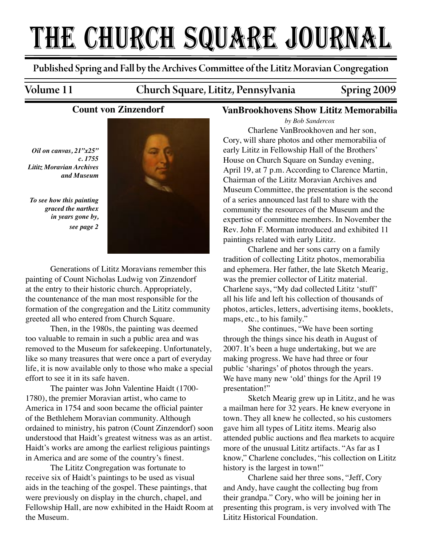# THE CHURCH SQUARE JOURNAL

Published Spring and Fall by the Archives Commi�ee of the Lititz Moravian Congregation

### Volume 11 Church Square, Lititz, Pennsylvania Spring 2009

## **Count von Zinzendorf**

*Oil on canvas, 21"x25" c. 1755 Lititz Moravian Archives and Museum*

*To see how this painting graced the narthex in years gone by, see page 2*



 Generations of Lititz Moravians remember this painting of Count Nicholas Ludwig von Zinzendorf at the entry to their historic church. Appropriately, the countenance of the man most responsible for the formation of the congregation and the Lititz community greeted all who entered from Church Square.

 Then, in the 1980s, the painting was deemed too valuable to remain in such a public area and was removed to the Museum for safekeeping. Unfortunately, like so many treasures that were once a part of everyday life, it is now available only to those who make a special effort to see it in its safe haven.

 The painter was John Valentine Haidt (1700- 1780), the premier Moravian artist, who came to America in 1754 and soon became the official painter of the Bethlehem Moravian community. Although ordained to ministry, his patron (Count Zinzendorf) soon understood that Haidt's greatest witness was as an artist. Haidt's works are among the earliest religious paintings in America and are some of the country's finest.

 The Lititz Congregation was fortunate to receive six of Haidt's paintings to be used as visual aids in the teaching of the gospel. These paintings, that were previously on display in the church, chapel, and Fellowship Hall, are now exhibited in the Haidt Room at the Museum.

### **VanBrookhovens Show Lititz Memorabilia**

*by Bob Sandercox*

 Charlene VanBrookhoven and her son, Cory, will share photos and other memorabilia of early Lititz in Fellowship Hall of the Brothers' House on Church Square on Sunday evening, April 19, at 7 p.m. According to Clarence Martin, Chairman of the Lititz Moravian Archives and Museum Committee, the presentation is the second of a series announced last fall to share with the community the resources of the Museum and the expertise of committee members. In November the Rev. John F. Morman introduced and exhibited 11 paintings related with early Lititz.

Charlene and her sons carry on a family tradition of collecting Lititz photos, memorabilia and ephemera. Her father, the late Sketch Mearig, was the premier collector of Lititz material. Charlene says, "My dad collected Lititz 'stuff' all his life and left his collection of thousands of photos, articles, letters, advertising items, booklets, maps, etc., to his family."

She continues, "We have been sorting through the things since his death in August of 2007. It's been a huge undertaking, but we are making progress. We have had three or four public 'sharings' of photos through the years. We have many new 'old' things for the April 19 presentation!"

Sketch Mearig grew up in Lititz, and he was a mailman here for 32 years. He knew everyone in town. They all knew he collected, so his customers gave him all types of Lititz items. Mearig also attended public auctions and flea markets to acquire more of the unusual Lititz artifacts. "As far as I know," Charlene concludes, "his collection on Lititz history is the largest in town!"

Charlene said her three sons, "Jeff, Cory and Andy, have caught the collecting bug from their grandpa." Cory, who will be joining her in presenting this program, is very involved with The Lititz Historical Foundation.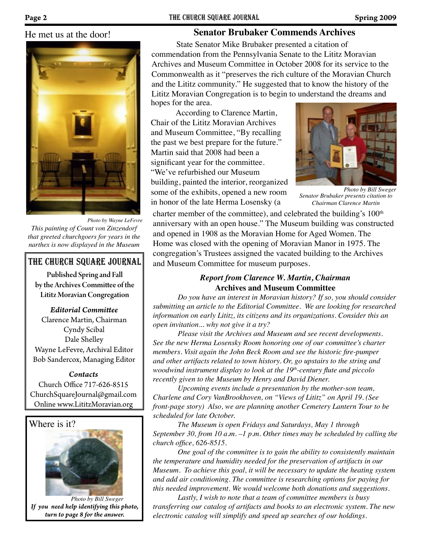### He met us at the door!



*Photo by Wayne LeFevre This painting of Count von Zinzendorf that greeted churchgoers for years in the narthex is now displayed in the Museum*

### The church square Journal

Published Spring and Fall by the Archives Commi�ee of the Lititz Moravian Congregation

#### *Editorial Commi�ee*

Clarence Martin, Chairman Cyndy Scibal Dale Shelley Wayne LeFevre, Archival Editor Bob Sandercox, Managing Editor

#### *Contacts*

Church Office 717-626-8515 ChurchSquareJournal@gmail.com Online www.LititzMoravian.org



*If you need help identifying this photo, turn to page 8 for the answer. Photo by Bill Sweger*

### **Senator Brubaker Commends Archives**

State Senator Mike Brubaker presented a citation of commendation from the Pennsylvania Senate to the Lititz Moravian Archives and Museum Committee in October 2008 for its service to the Commonwealth as it "preserves the rich culture of the Moravian Church and the Lititz community." He suggested that to know the history of the Lititz Moravian Congregation is to begin to understand the dreams and hopes for the area.

According to Clarence Martin, Chair of the Lititz Moravian Archives and Museum Committee, "By recalling the past we best prepare for the future." Martin said that 2008 had been a significant year for the committee. "We've refurbished our Museum building, painted the interior, reorganized some of the exhibits, opened a new room in honor of the late Herma Losensky (a



*Senator Brubaker presents citation to Chairman Clarence Martin Photo by Bill Sweger*

charter member of the committee), and celebrated the building's  $100<sup>th</sup>$ anniversary with an open house." The Museum building was constructed and opened in 1908 as the Moravian Home for Aged Women. The Home was closed with the opening of Moravian Manor in 1975. The congregation's Trustees assigned the vacated building to the Archives and Museum Committee for museum purposes.

### *Report from Clarence W. Martin, Chairman* **Archives and Museum Committee**

*Do you have an interest in Moravian history? If so, you should consider submitting an article to the Editorial Committee. We are looking for researched information on early Lititz, its citizens and its organizations. Consider this an open invitation... why not give it a try?*

*Please visit the Archives and Museum and see recent developments. See the new Herma Losensky Room honoring one of our committee's charter members. Visit again the John Beck Room and see the historic fire-pumper and other artifacts related to town history. Or, go upstairs to the string and woodwind instrument display to look at the 19th-century flute and piccolo recently given to the Museum by Henry and David Diener.*

*Upcoming events include a presentation by the mother-son team, Charlene and Cory VanBrookhoven, on "Views of Lititz" on April 19. (See front-page story) Also, we are planning another Cemetery Lantern Tour to be scheduled for late October.*

*The Museum is open Fridays and Saturdays, May 1 through September 30, from 10 a.m. –1 p.m. Other times may be scheduled by calling the church office, 626-8515.*

*One goal of the committee is to gain the ability to consistently maintain the temperature and humidity needed for the preservation of artifacts in our Museum. To achieve this goal, it will be necessary to update the heating system and add air conditioning. The committee is researching options for paying for this needed improvement. We would welcome both donations and suggestions.*

*Lastly, I wish to note that a team of committee members is busy transferring our catalog of artifacts and books to an electronic system. The new electronic catalog will simplify and speed up searches of our holdings.*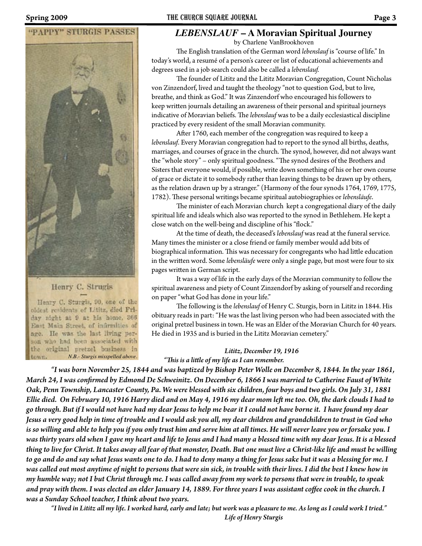

### Henry C. Strugis

Henry C. Sturgis, 90, one of the oldest residents of Lititz, died Friday night at 9 at his home, 366 East Main Street, of infirmities of age. He was the last living person who had been associated with the original pretzel business in *N.B.- Sturgis misspelled above.*town.

# *LEBENSLAUF* **– A Moravian Spiritual Journey**

by Charlene VanBrookhoven

�e English translation of the German word *lebenslauf* is "course of life." In today's world, a resumé of a person's career or list of educational achievements and degrees used in a job search could also be called a *lebenslauf.*

�e founder of Lititz and the Lititz Moravian Congregation, Count Nicholas von Zinzendorf, lived and taught the theology "not to question God, but to live, breathe, and think as God." It was Zinzendorf who encouraged his followers to keep written journals detailing an awareness of their personal and spiritual journeys indicative of Moravian beliefs. The *lebenslauf* was to be a daily ecclesiastical discipline practiced by every resident of the small Moravian community.

After 1760, each member of the congregation was required to keep a *lebenslauf*. Every Moravian congregation had to report to the synod all births, deaths, marriages, and courses of grace in the church. The synod, however, did not always want the "whole story" - only spiritual goodness. "The synod desires of the Brothers and Sisters that everyone would, if possible, write down something of his or her own course of grace or dictate it to somebody rather than leaving things to be drawn up by others, as the relation drawn up by a stranger." (Harmony of the four synods 1764, 1769, 1775, 1782). These personal writings became spiritual autobiographies or *lebensläufe*.

The minister of each Moravian church kept a congregational diary of the daily spiritual life and ideals which also was reported to the synod in Bethlehem. He kept a close watch on the well-being and discipline of his "flock."

At the time of death, the deceased's *lebenslauf* was read at the funeral service. Many times the minister or a close friend or family member would add bits of biographical information. This was necessary for congregants who had little education in the wri�en word. Some *lebensläufe* were only a single page, but most were four to six pages written in German script.

It was a way of life in the early days of the Moravian community to follow the spiritual awareness and piety of Count Zinzendorf by asking of yourself and recording on paper "what God has done in your life."

�e following is the *lebenslauf* of Henry C. Sturgis, born in Lititz in 1844. His obituary reads in part: "He was the last living person who had been associated with the original pretzel business in town. He was an Elder of the Moravian Church for 40 years. He died in 1935 and is buried in the Lititz Moravian cemetery."

#### *Lititz, December 19, 1916*

*"�is is a li�le of my life as I can remember.*

 *"I was born November 25, 1844 and was baptized by Bishop Peter Wolle on December 8, 1844. In the year 1861, March 24, I was con�rmed by Edmond De Schweinitz. On December 6, 1866 I was married to Catherine Faust of White Oak, Penn Township, Lancaster County, Pa. We were blessed with six children, four boys and two girls. On July 31, 1881 Ellie died. On February 10, 1916 Harry died and on May 4, 1916 my dear mom le� me too. Oh, the dark clouds I had to go through. But if I would not have had my dear Jesus to help me bear it I could not have borne it. I have found my dear Jesus a very good help in time of trouble and I would ask you all, my dear children and grandchildren to trust in God who is so willing and able to help you if you only trust him and serve him at all times. He will never leave you or forsake you. I was thirty years old when I gave my heart and life to Jesus and I had many a blessed time with my dear Jesus. It is a blessed thing to live for Christ. It takes away all fear of that monster, Death. But one must live a Christ-like life and must be willing to go and do and say what Jesus wants one to do. I had to deny many a thing for Jesus sake but it was a blessing for me. I was called out most anytime of night to persons that were sin sick, in trouble with their lives. I did the best I knew how in my humble way; not I but Christ through me. I was called away from my work to persons that were in trouble, to speak and pray with them. I was elected an elder January 14, 1889. For three years I was assistant coffee cook in the church. I was a Sunday School teacher, I think about two years.*

*"I lived in Lititz all my life. I worked hard, early and late; but work was a pleasure to me. As long as I could work I tried."*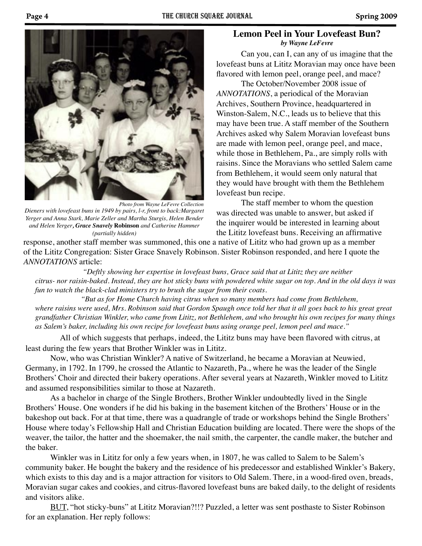

*Photo from Wayne LeFevre Collection Dieners with lovefeast buns in 1949 by pairs, l-r, front to back:Margaret Yerger and Anna Stark, Marie Zeller and Martha Sturgis, Helen Bender and Helen Yerger, Grace Snavely* **Robinson** *and Catherine Hammer (partially hidden)*

### **Lemon Peel in Your Lovefeast Bun?** *by Wayne LeFevre*

Can you, can I, can any of us imagine that the lovefeast buns at Lititz Moravian may once have been flavored with lemon peel, orange peel, and mace?

 The October/November 2008 issue of *ANNOTATIONS*, a periodical of the Moravian Archives, Southern Province, headquartered in Winston-Salem, N.C., leads us to believe that this may have been true. A staff member of the Southern Archives asked why Salem Moravian lovefeast buns are made with lemon peel, orange peel, and mace, while those in Bethlehem, Pa., are simply rolls with raisins. Since the Moravians who settled Salem came from Bethlehem, it would seem only natural that they would have brought with them the Bethlehem lovefeast bun recipe.

 The staff member to whom the question was directed was unable to answer, but asked if the inquirer would be interested in learning about the Lititz lovefeast buns. Receiving an affirmative

response, another staff member was summoned, this one a native of Lititz who had grown up as a member of the Lititz Congregation: Sister Grace Snavely Robinson. Sister Robinson responded, and here I quote the *ANNOTATIONS* article:

 *"Deftly showing her expertise in lovefeast buns, Grace said that at Lititz they are neither citrus- nor raisin-baked. Instead, they are hot sticky buns with powdered white sugar on top. And in the old days it was fun to watch the black-clad ministers try to brush the sugar from their coats.* 

 *"But as for Home Church having citrus when so many members had come from Bethlehem,*  where raisins were used, Mrs. Robinson said that Gordon Spaugh once told her that it all goes back to his great great *grandfather Christian Winkler, who came from Lititz, not Bethlehem, and who brought his own recipes for many things as Salem's baker, including his own recipe for lovefeast buns using orange peel, lemon peel and mace."*

All of which suggests that perhaps, indeed, the Lititz buns may have been flavored with citrus, at least during the few years that Brother Winkler was in Lititz.

 Now, who was Christian Winkler? A native of Switzerland, he became a Moravian at Neuwied, Germany, in 1792. In 1799, he crossed the Atlantic to Nazareth, Pa., where he was the leader of the Single Brothers' Choir and directed their bakery operations. After several years at Nazareth, Winkler moved to Lititz and assumed responsibilities similar to those at Nazareth.

 As a bachelor in charge of the Single Brothers, Brother Winkler undoubtedly lived in the Single Brothers' House. One wonders if he did his baking in the basement kitchen of the Brothers' House or in the bakeshop out back. For at that time, there was a quadrangle of trade or workshops behind the Single Brothers' House where today's Fellowship Hall and Christian Education building are located. There were the shops of the weaver, the tailor, the hatter and the shoemaker, the nail smith, the carpenter, the candle maker, the butcher and the baker.

 Winkler was in Lititz for only a few years when, in 1807, he was called to Salem to be Salem's community baker. He bought the bakery and the residence of his predecessor and established Winkler's Bakery, which exists to this day and is a major attraction for visitors to Old Salem. There, in a wood-fired oven, breads, Moravian sugar cakes and cookies, and citrus-flavored lovefeast buns are baked daily, to the delight of residents and visitors alike.

BUT, "hot sticky-buns" at Lititz Moravian?!!? Puzzled, a letter was sent posthaste to Sister Robinson for an explanation. Her reply follows: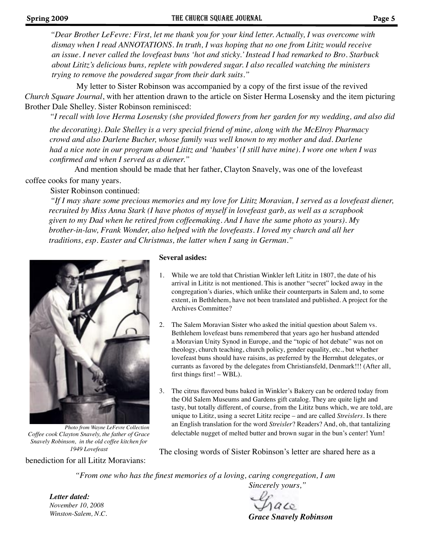*dismay when I read ANNOTATIONS. In truth, I was hoping that no one from Lititz would receive an issue. I never called the lovefeast buns 'hot and sticky.' Instead I had remarked to Bro. Starbuck about Lititz's delicious buns, replete with powdered sugar. I also recalled watching the ministers trying to remove the powdered sugar from their dark suits." "Dear Brother LeFevre: First, let me thank you for your kind letter. Actually, I was overcome with* 

My letter to Sister Robinson was accompanied by a copy of the first issue of the revived *Church Square Journal*, with her attention drawn to the article on Sister Herma Losensky and the item picturing Brother Dale Shelley. Sister Robinson reminisced:

*"I recall with love Herma Losensky (she provided flowers from her garden for my wedding, and also did* 

*the decorating). Dale Shelley is a very special friend of mine, along with the McElroy Pharmacy crowd and also Darlene Bucher, whose family was well known to my mother and dad. Darlene had a nice note in our program about Lititz and 'haubes' (I still have mine). I wore one when I was confirmed and when I served as a diener."* 

And mention should be made that her father, Clayton Snavely, was one of the lovefeast

### coffee cooks for many years.

Sister Robinson continued:

*"If I may share some precious memories and my love for Lititz Moravian, I served as a lovefeast diener, recruited by Miss Anna Stark (I have photos of myself in lovefeast garb, as well as a scrapbook given to my Dad when he retired from coffeemaking. And I have the same photo as yours). My brother-in-law, Frank Wonder, also helped with the lovefeasts. I loved my church and all her traditions, esp. Easter and Christmas, the latter when I sang in German."*



*Coffee cook Clayton Snavely, the father of Grace Snavely Robinson, in the old coffee kitchen for 1949 Lovefeast Photo from Wayne LeFevre Collection*

benediction for all Lititz Moravians:

#### **Several asides:**

- 1. While we are told that Christian Winkler left Lititz in 1807, the date of his arrival in Lititz is not mentioned. This is another "secret" locked away in the congregation's diaries, which unlike their counterparts in Salem and, to some extent, in Bethlehem, have not been translated and published. A project for the Archives Committee?
- 2. The Salem Moravian Sister who asked the initial question about Salem vs. Bethlehem lovefeast buns remembered that years ago her husband attended a Moravian Unity Synod in Europe, and the "topic of hot debate" was not on theology, church teaching, church policy, gender equality, etc., but whether lovefeast buns should have raisins, as preferred by the Herrnhut delegates, or currants as favored by the delegates from Christiansfeld, Denmark!!! (After all, first things first! – WBL).
- 3. The citrus flavored buns baked in Winkler's Bakery can be ordered today from the Old Salem Museums and Gardens gift catalog. They are quite light and tasty, but totally different, of course, from the Lititz buns which, we are told, are unique to Lititz, using a secret Lititz recipe – and are called *Streislers*. Is there an English translation for the word *Streisler*? Readers? And, oh, that tantalizing delectable nugget of melted butter and brown sugar in the bun's center! Yum!

The closing words of Sister Robinson's letter are shared here as a

*"From one who has the finest memories of a loving, caring congregation, I am Sincerely yours,"*

*Letter dated: November 10, 2008 Winston-Salem, N.C.*

 $rac{c}{c}$ *Grace Snavely Robinson*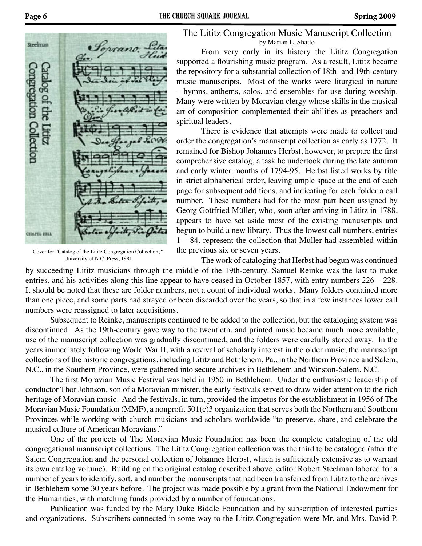

Cover for "Catalog of the Lititz Congregation Collection, " University of N.C. Press, 1981

The Lititz Congregation Music Manuscript Collection by Marian L. Shatto

From very early in its history the Lititz Congregation supported a flourishing music program. As a result, Lititz became the repository for a substantial collection of 18th- and 19th-century music manuscripts. Most of the works were liturgical in nature – hymns, anthems, solos, and ensembles for use during worship. Many were written by Moravian clergy whose skills in the musical art of composition complemented their abilities as preachers and spiritual leaders.

There is evidence that attempts were made to collect and order the congregation's manuscript collection as early as 1772. It remained for Bishop Johannes Herbst, however, to prepare the first comprehensive catalog, a task he undertook during the late autumn and early winter months of 1794-95. Herbst listed works by title in strict alphabetical order, leaving ample space at the end of each page for subsequent additions, and indicating for each folder a call number. These numbers had for the most part been assigned by Georg Gottfried Müller, who, soon after arriving in Lititz in 1788, appears to have set aside most of the existing manuscripts and begun to build a new library. Thus the lowest call numbers, entries 1 – 84, represent the collection that Müller had assembled within the previous six or seven years.

The work of cataloging that Herbst had begun was continued by succeeding Lititz musicians through the middle of the 19th-century. Samuel Reinke was the last to make entries, and his activities along this line appear to have ceased in October 1857, with entry numbers 226 – 228. It should be noted that these are folder numbers, not a count of individual works. Many folders contained more than one piece, and some parts had strayed or been discarded over the years, so that in a few instances lower call numbers were reassigned to later acquisitions.

Subsequent to Reinke, manuscripts continued to be added to the collection, but the cataloging system was discontinued. As the 19th-century gave way to the twentieth, and printed music became much more available, use of the manuscript collection was gradually discontinued, and the folders were carefully stored away. In the years immediately following World War II, with a revival of scholarly interest in the older music, the manuscript collections of the historic congregations, including Lititz and Bethlehem, Pa., in the Northern Province and Salem, N.C., in the Southern Province, were gathered into secure archives in Bethlehem and Winston-Salem, N.C.

The first Moravian Music Festival was held in 1950 in Bethlehem. Under the enthusiastic leadership of conductor Thor Johnson, son of a Moravian minister, the early festivals served to draw wider attention to the rich heritage of Moravian music. And the festivals, in turn, provided the impetus for the establishment in 1956 of The Moravian Music Foundation (MMF), a nonprofit 501(c)3 organization that serves both the Northern and Southern Provinces while working with church musicians and scholars worldwide "to preserve, share, and celebrate the musical culture of American Moravians."

One of the projects of The Moravian Music Foundation has been the complete cataloging of the old congregational manuscript collections. The Lititz Congregation collection was the third to be cataloged (after the Salem Congregation and the personal collection of Johannes Herbst, which is sufficiently extensive as to warrant its own catalog volume). Building on the original catalog described above, editor Robert Steelman labored for a number of years to identify, sort, and number the manuscripts that had been transferred from Lititz to the archives in Bethlehem some 30 years before. The project was made possible by a grant from the National Endowment for the Humanities, with matching funds provided by a number of foundations.

Publication was funded by the Mary Duke Biddle Foundation and by subscription of interested parties and organizations. Subscribers connected in some way to the Lititz Congregation were Mr. and Mrs. David P.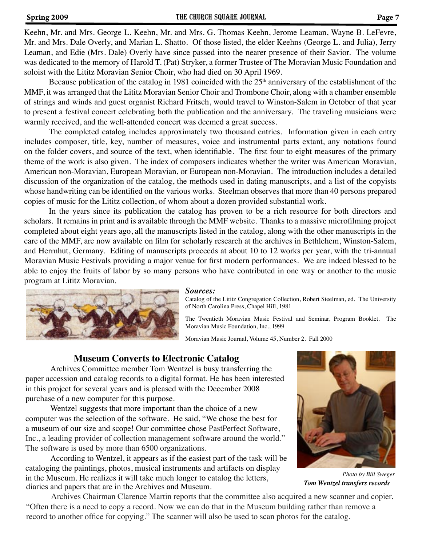#### Spring 2009 **Spring 2009** THE CHURCH SQUARE JOURNAL **Page 7**

Keehn, Mr. and Mrs. George L. Keehn, Mr. and Mrs. G. Thomas Keehn, Jerome Leaman, Wayne B. LeFevre, Mr. and Mrs. Dale Overly, and Marian L. Shatto. Of those listed, the elder Keehns (George L. and Julia), Jerry Leaman, and Edie (Mrs. Dale) Overly have since passed into the nearer presence of their Savior. The volume was dedicated to the memory of Harold T. (Pat) Stryker, a former Trustee of The Moravian Music Foundation and soloist with the Lititz Moravian Senior Choir, who had died on 30 April 1969.

Because publication of the catalog in 1981 coincided with the  $25<sup>th</sup>$  anniversary of the establishment of the MMF, it was arranged that the Lititz Moravian Senior Choir and Trombone Choir, along with a chamber ensemble of strings and winds and guest organist Richard Fritsch, would travel to Winston-Salem in October of that year to present a festival concert celebrating both the publication and the anniversary. The traveling musicians were warmly received, and the well-attended concert was deemed a great success.

The completed catalog includes approximately two thousand entries. Information given in each entry includes composer, title, key, number of measures, voice and instrumental parts extant, any notations found on the folder covers, and source of the text, when identifiable. The first four to eight measures of the primary theme of the work is also given. The index of composers indicates whether the writer was American Moravian, American non-Moravian, European Moravian, or European non-Moravian. The introduction includes a detailed discussion of the organization of the catalog, the methods used in dating manuscripts, and a list of the copyists whose handwriting can be identified on the various works. Steelman observes that more than 40 persons prepared copies of music for the Lititz collection, of whom about a dozen provided substantial work.

In the years since its publication the catalog has proven to be a rich resource for both directors and scholars. It remains in print and is available through the MMF website. Thanks to a massive microfilming project completed about eight years ago, all the manuscripts listed in the catalog, along with the other manuscripts in the care of the MMF, are now available on film for scholarly research at the archives in Bethlehem, Winston-Salem, and Herrnhut, Germany. Editing of manuscripts proceeds at about 10 to 12 works per year, with the tri-annual Moravian Music Festivals providing a major venue for first modern performances. We are indeed blessed to be able to enjoy the fruits of labor by so many persons who have contributed in one way or another to the music program at Lititz Moravian.



#### *Sources:*

Catalog of the Lititz Congregation Collection, Robert Steelman, ed. The University of North Carolina Press, Chapel Hill, 1981

The Twentieth Moravian Music Festival and Seminar, Program Booklet. The Moravian Music Foundation, Inc., 1999

Moravian Music Journal, Volume 45, Number 2. Fall 2000

### **Museum Converts to Electronic Catalog**

Archives Committee member Tom Wentzel is busy transferring the paper accession and catalog records to a digital format. He has been interested in this project for several years and is pleased with the December 2008 purchase of a new computer for this purpose.

Wentzel suggests that more important than the choice of a new computer was the selection of the software. He said, "We chose the best for a museum of our size and scope! Our committee chose PastPerfect Software, Inc., a leading provider of collection management software around the world." The software is used by more than 6500 organizations.

According to Wentzel, it appears as if the easiest part of the task will be cataloging the paintings, photos, musical instruments and artifacts on display in the Museum. He realizes it will take much longer to catalog the letters, diaries and papers that are in the Archives and Museum.

*Tom Wentzel transfers records Photo by Bill Sweger*

 Archives Chairman Clarence Martin reports that the committee also acquired a new scanner and copier. "Often there is a need to copy a record. Now we can do that in the Museum building rather than remove a record to another office for copying." The scanner will also be used to scan photos for the catalog.